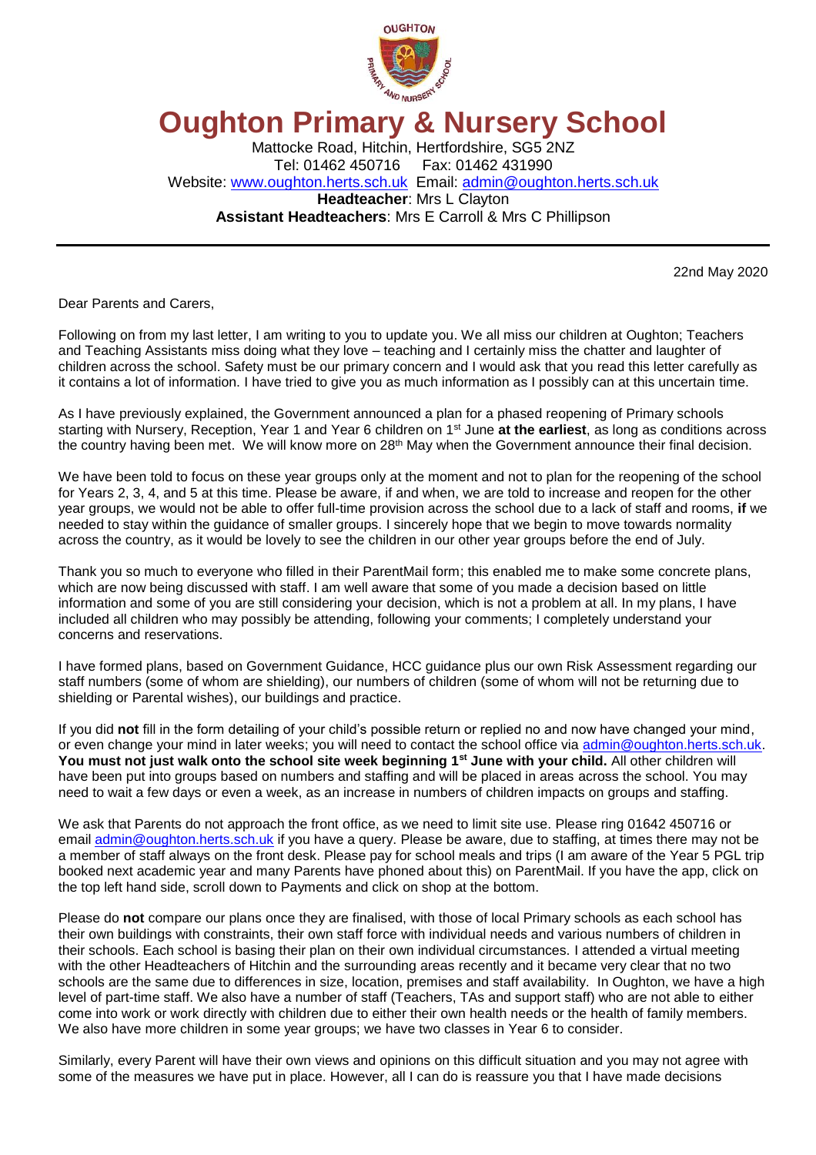

# **Oughton Primary & Nursery School**

Mattocke Road, Hitchin, Hertfordshire, SG5 2NZ Tel: 01462 450716 Fax: 01462 431990 Website: [www.oughton.herts.sch.uk](http://www.oughton.herts.sch.uk/) Email: [admin@oughton.herts.sch.uk](mailto:admin@oughton.herts.sch.uk) **Headteacher**: Mrs L Clayton **Assistant Headteachers**: Mrs E Carroll & Mrs C Phillipson

22nd May 2020

Dear Parents and Carers,

Following on from my last letter, I am writing to you to update you. We all miss our children at Oughton; Teachers and Teaching Assistants miss doing what they love – teaching and I certainly miss the chatter and laughter of children across the school. Safety must be our primary concern and I would ask that you read this letter carefully as it contains a lot of information. I have tried to give you as much information as I possibly can at this uncertain time.

As I have previously explained, the Government announced a plan for a phased reopening of Primary schools starting with Nursery, Reception, Year 1 and Year 6 children on 1st June **at the earliest**, as long as conditions across the country having been met. We will know more on 28<sup>th</sup> May when the Government announce their final decision.

We have been told to focus on these year groups only at the moment and not to plan for the reopening of the school for Years 2, 3, 4, and 5 at this time. Please be aware, if and when, we are told to increase and reopen for the other year groups, we would not be able to offer full-time provision across the school due to a lack of staff and rooms, **if** we needed to stay within the guidance of smaller groups. I sincerely hope that we begin to move towards normality across the country, as it would be lovely to see the children in our other year groups before the end of July.

Thank you so much to everyone who filled in their ParentMail form; this enabled me to make some concrete plans, which are now being discussed with staff. I am well aware that some of you made a decision based on little information and some of you are still considering your decision, which is not a problem at all. In my plans, I have included all children who may possibly be attending, following your comments; I completely understand your concerns and reservations.

I have formed plans, based on Government Guidance, HCC guidance plus our own Risk Assessment regarding our staff numbers (some of whom are shielding), our numbers of children (some of whom will not be returning due to shielding or Parental wishes), our buildings and practice.

If you did **not** fill in the form detailing of your child's possible return or replied no and now have changed your mind, or even change your mind in later weeks; you will need to contact the school office via [admin@oughton.herts.sch.uk.](mailto:admin@oughton.herts.sch.uk) **You must not just walk onto the school site week beginning 1st June with your child.** All other children will have been put into groups based on numbers and staffing and will be placed in areas across the school. You may need to wait a few days or even a week, as an increase in numbers of children impacts on groups and staffing.

We ask that Parents do not approach the front office, as we need to limit site use. Please ring 01642 450716 or email [admin@oughton.herts.sch.uk](mailto:admin@oughton.herts.sch.uk) if you have a query. Please be aware, due to staffing, at times there may not be a member of staff always on the front desk. Please pay for school meals and trips (I am aware of the Year 5 PGL trip booked next academic year and many Parents have phoned about this) on ParentMail. If you have the app, click on the top left hand side, scroll down to Payments and click on shop at the bottom.

Please do **not** compare our plans once they are finalised, with those of local Primary schools as each school has their own buildings with constraints, their own staff force with individual needs and various numbers of children in their schools. Each school is basing their plan on their own individual circumstances. I attended a virtual meeting with the other Headteachers of Hitchin and the surrounding areas recently and it became very clear that no two schools are the same due to differences in size, location, premises and staff availability. In Oughton, we have a high level of part-time staff. We also have a number of staff (Teachers, TAs and support staff) who are not able to either come into work or work directly with children due to either their own health needs or the health of family members. We also have more children in some year groups; we have two classes in Year 6 to consider.

Similarly, every Parent will have their own views and opinions on this difficult situation and you may not agree with some of the measures we have put in place. However, all I can do is reassure you that I have made decisions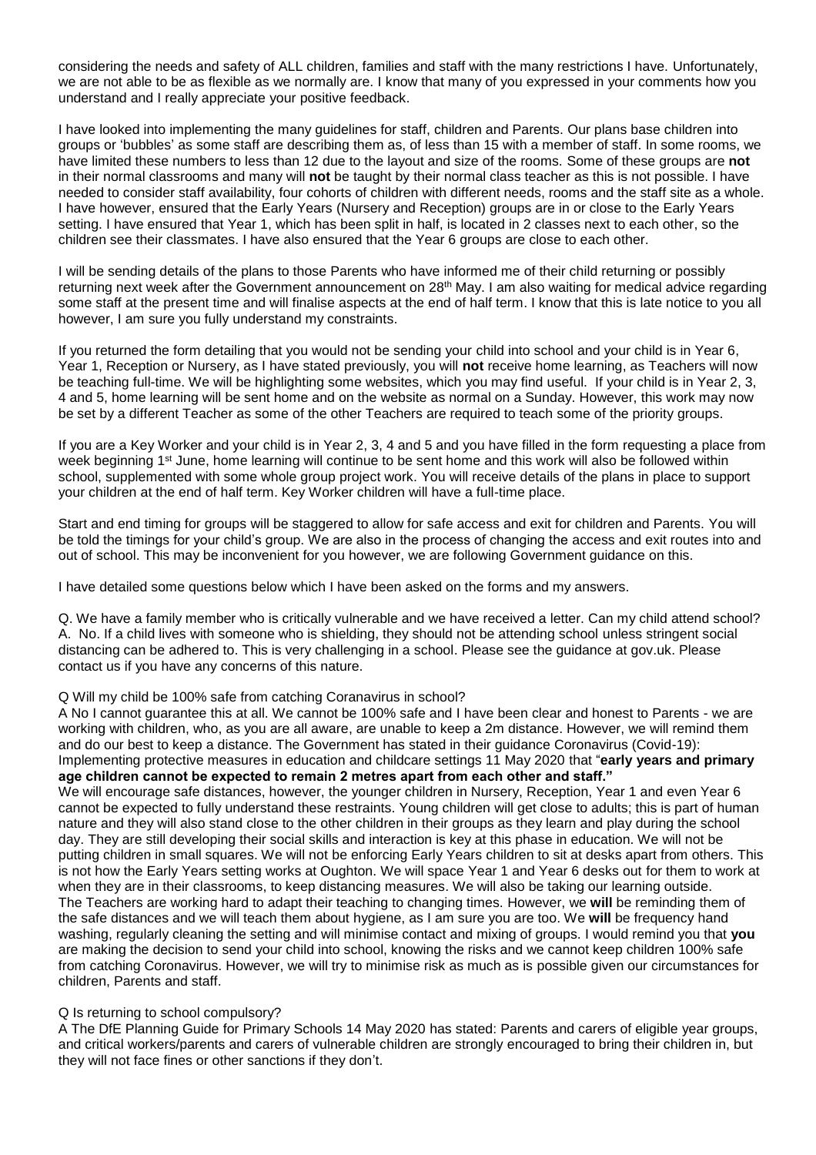considering the needs and safety of ALL children, families and staff with the many restrictions I have. Unfortunately, we are not able to be as flexible as we normally are. I know that many of you expressed in your comments how you understand and I really appreciate your positive feedback.

I have looked into implementing the many guidelines for staff, children and Parents. Our plans base children into groups or 'bubbles' as some staff are describing them as, of less than 15 with a member of staff. In some rooms, we have limited these numbers to less than 12 due to the layout and size of the rooms. Some of these groups are **not** in their normal classrooms and many will **not** be taught by their normal class teacher as this is not possible. I have needed to consider staff availability, four cohorts of children with different needs, rooms and the staff site as a whole. I have however, ensured that the Early Years (Nursery and Reception) groups are in or close to the Early Years setting. I have ensured that Year 1, which has been split in half, is located in 2 classes next to each other, so the children see their classmates. I have also ensured that the Year 6 groups are close to each other.

I will be sending details of the plans to those Parents who have informed me of their child returning or possibly returning next week after the Government announcement on 28<sup>th</sup> May. I am also waiting for medical advice regarding some staff at the present time and will finalise aspects at the end of half term. I know that this is late notice to you all however, I am sure you fully understand my constraints.

If you returned the form detailing that you would not be sending your child into school and your child is in Year 6, Year 1, Reception or Nursery, as I have stated previously, you will **not** receive home learning, as Teachers will now be teaching full-time. We will be highlighting some websites, which you may find useful. If your child is in Year 2, 3, 4 and 5, home learning will be sent home and on the website as normal on a Sunday. However, this work may now be set by a different Teacher as some of the other Teachers are required to teach some of the priority groups.

If you are a Key Worker and your child is in Year 2, 3, 4 and 5 and you have filled in the form requesting a place from week beginning 1<sup>st</sup> June, home learning will continue to be sent home and this work will also be followed within school, supplemented with some whole group project work. You will receive details of the plans in place to support your children at the end of half term. Key Worker children will have a full-time place.

Start and end timing for groups will be staggered to allow for safe access and exit for children and Parents. You will be told the timings for your child's group. We are also in the process of changing the access and exit routes into and out of school. This may be inconvenient for you however, we are following Government guidance on this.

I have detailed some questions below which I have been asked on the forms and my answers.

Q. We have a family member who is critically vulnerable and we have received a letter. Can my child attend school? A. No. If a child lives with someone who is shielding, they should not be attending school unless stringent social distancing can be adhered to. This is very challenging in a school. Please see the guidance at gov.uk. Please contact us if you have any concerns of this nature.

## Q Will my child be 100% safe from catching Coranavirus in school?

A No I cannot guarantee this at all. We cannot be 100% safe and I have been clear and honest to Parents - we are working with children, who, as you are all aware, are unable to keep a 2m distance. However, we will remind them and do our best to keep a distance. The Government has stated in their guidance Coronavirus (Covid-19): Implementing protective measures in education and childcare settings 11 May 2020 that "**early years and primary age children cannot be expected to remain 2 metres apart from each other and staff."** 

We will encourage safe distances, however, the younger children in Nursery, Reception, Year 1 and even Year 6 cannot be expected to fully understand these restraints. Young children will get close to adults; this is part of human nature and they will also stand close to the other children in their groups as they learn and play during the school day. They are still developing their social skills and interaction is key at this phase in education. We will not be putting children in small squares. We will not be enforcing Early Years children to sit at desks apart from others. This is not how the Early Years setting works at Oughton. We will space Year 1 and Year 6 desks out for them to work at when they are in their classrooms, to keep distancing measures. We will also be taking our learning outside. The Teachers are working hard to adapt their teaching to changing times. However, we **will** be reminding them of the safe distances and we will teach them about hygiene, as I am sure you are too. We **will** be frequency hand washing, regularly cleaning the setting and will minimise contact and mixing of groups. I would remind you that **you**  are making the decision to send your child into school, knowing the risks and we cannot keep children 100% safe from catching Coronavirus. However, we will try to minimise risk as much as is possible given our circumstances for children, Parents and staff.

## Q Is returning to school compulsory?

A The DfE Planning Guide for Primary Schools 14 May 2020 has stated: Parents and carers of eligible year groups, and critical workers/parents and carers of vulnerable children are strongly encouraged to bring their children in, but they will not face fines or other sanctions if they don't.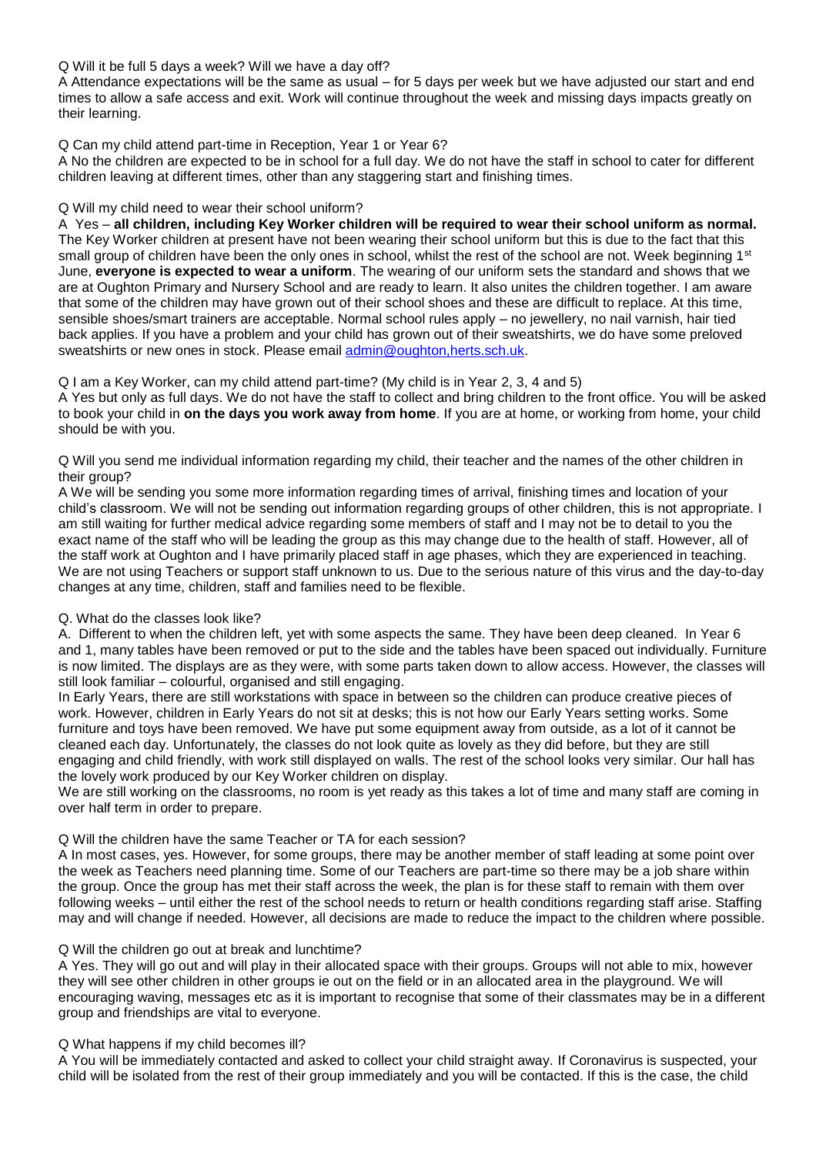# Q Will it be full 5 days a week? Will we have a day off?

A Attendance expectations will be the same as usual – for 5 days per week but we have adjusted our start and end times to allow a safe access and exit. Work will continue throughout the week and missing days impacts greatly on their learning.

# Q Can my child attend part-time in Reception, Year 1 or Year 6?

A No the children are expected to be in school for a full day. We do not have the staff in school to cater for different children leaving at different times, other than any staggering start and finishing times.

# Q Will my child need to wear their school uniform?

A Yes – **all children, including Key Worker children will be required to wear their school uniform as normal.** The Key Worker children at present have not been wearing their school uniform but this is due to the fact that this small group of children have been the only ones in school, whilst the rest of the school are not. Week beginning 1<sup>st</sup> June, **everyone is expected to wear a uniform**. The wearing of our uniform sets the standard and shows that we are at Oughton Primary and Nursery School and are ready to learn. It also unites the children together. I am aware that some of the children may have grown out of their school shoes and these are difficult to replace. At this time, sensible shoes/smart trainers are acceptable. Normal school rules apply – no jewellery, no nail varnish, hair tied back applies. If you have a problem and your child has grown out of their sweatshirts, we do have some preloved sweatshirts or new ones in stock. Please email **admin@oughton,herts.sch.uk.** 

# Q I am a Key Worker, can my child attend part-time? (My child is in Year 2, 3, 4 and 5)

A Yes but only as full days. We do not have the staff to collect and bring children to the front office. You will be asked to book your child in **on the days you work away from home**. If you are at home, or working from home, your child should be with you.

Q Will you send me individual information regarding my child, their teacher and the names of the other children in their group?

A We will be sending you some more information regarding times of arrival, finishing times and location of your child's classroom. We will not be sending out information regarding groups of other children, this is not appropriate. I am still waiting for further medical advice regarding some members of staff and I may not be to detail to you the exact name of the staff who will be leading the group as this may change due to the health of staff. However, all of the staff work at Oughton and I have primarily placed staff in age phases, which they are experienced in teaching. We are not using Teachers or support staff unknown to us. Due to the serious nature of this virus and the day-to-day changes at any time, children, staff and families need to be flexible.

# Q. What do the classes look like?

A. Different to when the children left, yet with some aspects the same. They have been deep cleaned. In Year 6 and 1, many tables have been removed or put to the side and the tables have been spaced out individually. Furniture is now limited. The displays are as they were, with some parts taken down to allow access. However, the classes will still look familiar – colourful, organised and still engaging.

In Early Years, there are still workstations with space in between so the children can produce creative pieces of work. However, children in Early Years do not sit at desks; this is not how our Early Years setting works. Some furniture and toys have been removed. We have put some equipment away from outside, as a lot of it cannot be cleaned each day. Unfortunately, the classes do not look quite as lovely as they did before, but they are still engaging and child friendly, with work still displayed on walls. The rest of the school looks very similar. Our hall has the lovely work produced by our Key Worker children on display.

We are still working on the classrooms, no room is yet ready as this takes a lot of time and many staff are coming in over half term in order to prepare.

## Q Will the children have the same Teacher or TA for each session?

A In most cases, yes. However, for some groups, there may be another member of staff leading at some point over the week as Teachers need planning time. Some of our Teachers are part-time so there may be a job share within the group. Once the group has met their staff across the week, the plan is for these staff to remain with them over following weeks – until either the rest of the school needs to return or health conditions regarding staff arise. Staffing may and will change if needed. However, all decisions are made to reduce the impact to the children where possible.

## Q Will the children go out at break and lunchtime?

A Yes. They will go out and will play in their allocated space with their groups. Groups will not able to mix, however they will see other children in other groups ie out on the field or in an allocated area in the playground. We will encouraging waving, messages etc as it is important to recognise that some of their classmates may be in a different group and friendships are vital to everyone.

# Q What happens if my child becomes ill?

A You will be immediately contacted and asked to collect your child straight away. If Coronavirus is suspected, your child will be isolated from the rest of their group immediately and you will be contacted. If this is the case, the child